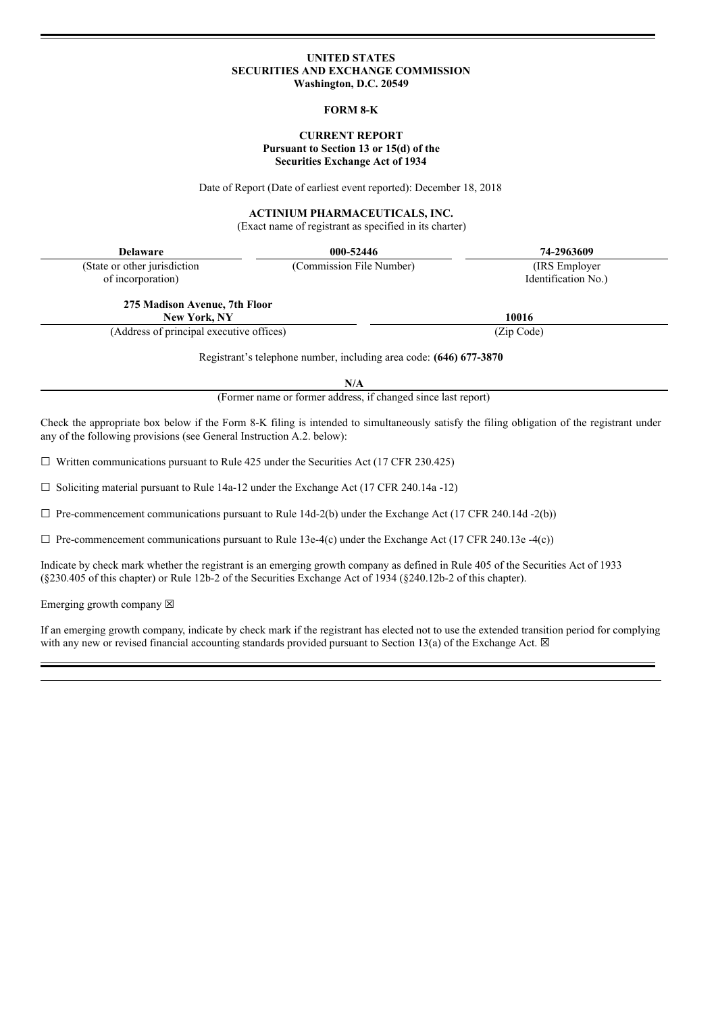#### **UNITED STATES SECURITIES AND EXCHANGE COMMISSION Washington, D.C. 20549**

## **FORM 8-K**

# **CURRENT REPORT Pursuant to Section 13 or 15(d) of the Securities Exchange Act of 1934**

Date of Report (Date of earliest event reported): December 18, 2018

## **ACTINIUM PHARMACEUTICALS, INC.**

(Exact name of registrant as specified in its charter)

| <b>Delaware</b>                                                                                                                                                                                                     | 000-52446                                                                 | 74-2963609          |  |
|---------------------------------------------------------------------------------------------------------------------------------------------------------------------------------------------------------------------|---------------------------------------------------------------------------|---------------------|--|
| (State or other jurisdiction                                                                                                                                                                                        | (Commission File Number)                                                  | (IRS Employer)      |  |
| of incorporation)                                                                                                                                                                                                   |                                                                           | Identification No.) |  |
| 275 Madison Avenue, 7th Floor                                                                                                                                                                                       |                                                                           |                     |  |
| <b>New York, NY</b>                                                                                                                                                                                                 |                                                                           | 10016               |  |
| (Address of principal executive offices)                                                                                                                                                                            |                                                                           | (Zip Code)          |  |
|                                                                                                                                                                                                                     | Registrant's telephone number, including area code: (646) 677-3870<br>N/A |                     |  |
|                                                                                                                                                                                                                     | (Former name or former address, if changed since last report)             |                     |  |
| Check the appropriate box below if the Form 8-K filing is intended to simultaneously satisfy the filing obligation of the registrant under<br>any of the following provisions (see General Instruction A.2. below): |                                                                           |                     |  |
| $\Box$ Written communications pursuant to Rule 425 under the Securities Act (17 CFR 230.425)                                                                                                                        |                                                                           |                     |  |

☐ Soliciting material pursuant to Rule 14a-12 under the Exchange Act (17 CFR 240.14a -12)

 $\Box$  Pre-commencement communications pursuant to Rule 14d-2(b) under the Exchange Act (17 CFR 240.14d -2(b))

 $\Box$  Pre-commencement communications pursuant to Rule 13e-4(c) under the Exchange Act (17 CFR 240.13e -4(c))

Indicate by check mark whether the registrant is an emerging growth company as defined in Rule 405 of the Securities Act of 1933 (§230.405 of this chapter) or Rule 12b-2 of the Securities Exchange Act of 1934 (§240.12b-2 of this chapter).

Emerging growth company  $\boxtimes$ 

If an emerging growth company, indicate by check mark if the registrant has elected not to use the extended transition period for complying with any new or revised financial accounting standards provided pursuant to Section 13(a) of the Exchange Act.  $\boxtimes$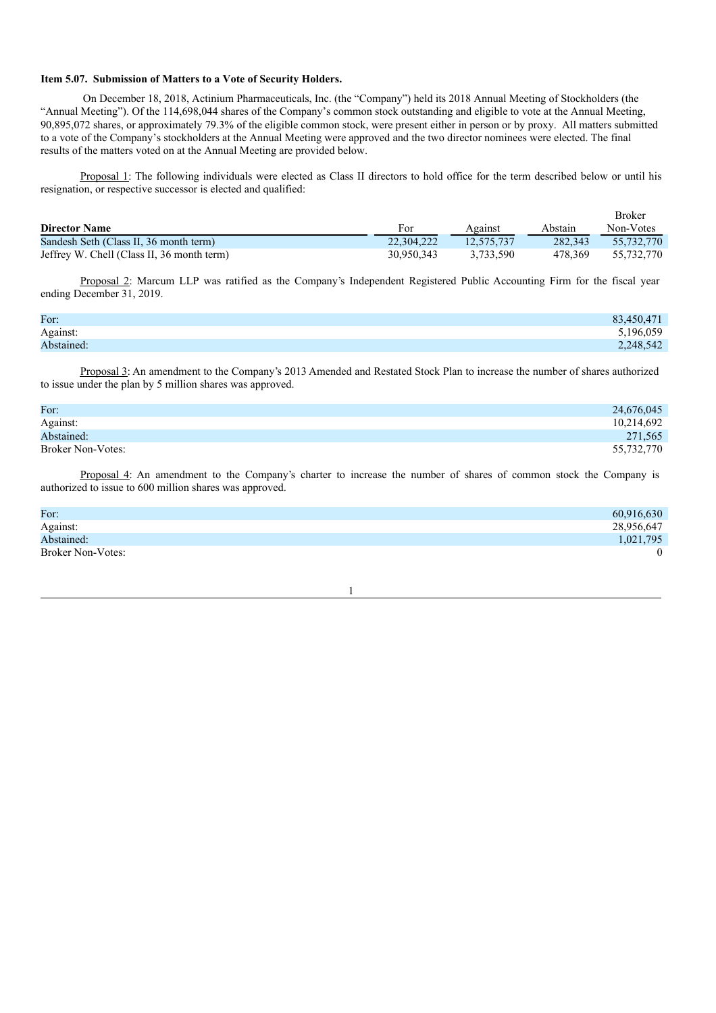#### **Item 5.07. Submission of Matters to a Vote of Security Holders.**

On December 18, 2018, Actinium Pharmaceuticals, Inc. (the "Company") held its 2018 Annual Meeting of Stockholders (the "Annual Meeting"). Of the 114,698,044 shares of the Company's common stock outstanding and eligible to vote at the Annual Meeting, 90,895,072 shares, or approximately 79.3% of the eligible common stock, were present either in person or by proxy. All matters submitted to a vote of the Company's stockholders at the Annual Meeting were approved and the two director nominees were elected. The final results of the matters voted on at the Annual Meeting are provided below.

Proposal 1: The following individuals were elected as Class II directors to hold office for the term described below or until his resignation, or respective successor is elected and qualified:

|                                            |            |            |         | <b>Broker</b> |
|--------------------------------------------|------------|------------|---------|---------------|
| <b>Director Name</b>                       | For        | Against    | Abstain | Non-Votes     |
| Sandesh Seth (Class II, 36 month term)     | 22,304,222 | 12.575.737 | 282,343 | 55.732.770    |
| Jeffrey W. Chell (Class II, 36 month term) | 30.950.343 | 3.733.590  | 478.369 | 55.732.770    |

Proposal 2: Marcum LLP was ratified as the Company's Independent Registered Public Accounting Firm for the fiscal year ending December 31, 2019.

| For:       | 83,450,471 |
|------------|------------|
| Against:   | 5,196,059  |
| Abstained: | 2,248,542  |

Proposal 3: An amendment to the Company's 2013 Amended and Restated Stock Plan to increase the number of shares authorized to issue under the plan by 5 million shares was approved.

| For:              | 24,676,045 |
|-------------------|------------|
| Against:          | 10,214,692 |
| Abstained:        | 271,565    |
| Broker Non-Votes: | 55,732,770 |

Proposal 4: An amendment to the Company's charter to increase the number of shares of common stock the Company is authorized to issue to 600 million shares was approved.

| For:                     | 60,916,630 |
|--------------------------|------------|
| Against:                 | 28,956,647 |
| Abstained:               | 1,021,795  |
| <b>Broker Non-Votes:</b> | $\theta$   |

1